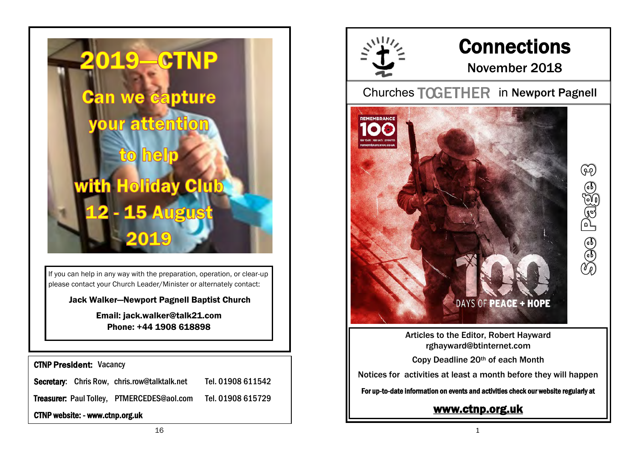

If you can help in any way with the preparation, operation, or clear-up please contact your Church Leader/Minister or alternately contact:

Jack Walker—Newport Pagnell Baptist Church

Email: jack.walker@talk21.com Phone: +44 1908 618898

CTNP President: Vacancy

Secretary: Chris Row, chris.row@talktalk.net Tel. 01908 611542

Treasurer: Paul Tolley, PTMERCEDES@aol.com Tel. 01908 615729

CTNP website: - www.ctnp.org.uk



## **Connections**

### November 2018

Pago

Churches TOGETHER in Newport Pagnell



Articles to the Editor, Robert Hayward rghayward@btinternet.com

Copy Deadline 20th of each Month

Notices for activities at least a month before they will happen

For up-to-date information on events and activities check our website regularly at

### [www.ctnp.org.uk](http://www.ctnp.org.uk)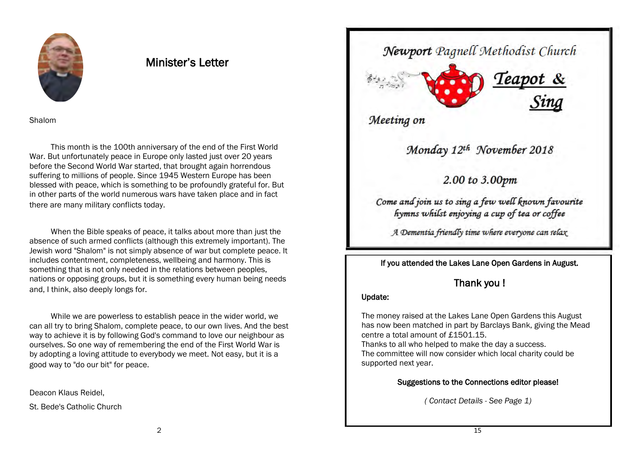

### Minister's Letter

Shalom

This month is the 100th anniversary of the end of the First World War. But unfortunately peace in Europe only lasted just over 20 years before the Second World War started, that brought again horrendous suffering to millions of people. Since 1945 Western Europe has been blessed with peace, which is something to be profoundly grateful for. But in other parts of the world numerous wars have taken place and in fact there are many military conflicts today.

When the Bible speaks of peace, it talks about more than just the absence of such armed conflicts (although this extremely important). The Jewish word "Shalom" is not simply absence of war but complete peace. It includes contentment, completeness, wellbeing and harmony. This is something that is not only needed in the relations between peoples, nations or opposing groups, but it is something every human being needs and, I think, also deeply longs for.

While we are powerless to establish peace in the wider world, we can all try to bring Shalom, complete peace, to our own lives. And the best way to achieve it is by following God's command to love our neighbour as ourselves. So one way of remembering the end of the First World War is by adopting a loving attitude to everybody we meet. Not easy, but it is a good way to "do our bit" for peace.

Deacon Klaus Reidel,

St. Bede's Catholic Church

Newport Pagnell Methodist Church



Meeting on

Monday 12th November 2018

2.00 to 3.00pm

Come and join us to sing a few well known favourite hymns whilst enjoying a cup of tea or coffee

A Dementia friendly time where everyone can relax

If you attended the Lakes Lane Open Gardens in August.

### Thank you !

#### Update:

The money raised at the Lakes Lane Open Gardens this August has now been matched in part by Barclays Bank, giving the Mead centre a total amount of £1501.15.

Thanks to all who helped to make the day a success. The committee will now consider which local charity could be supported next year.

#### Suggestions to the Connections editor please!

*( Contact Details - See Page 1)*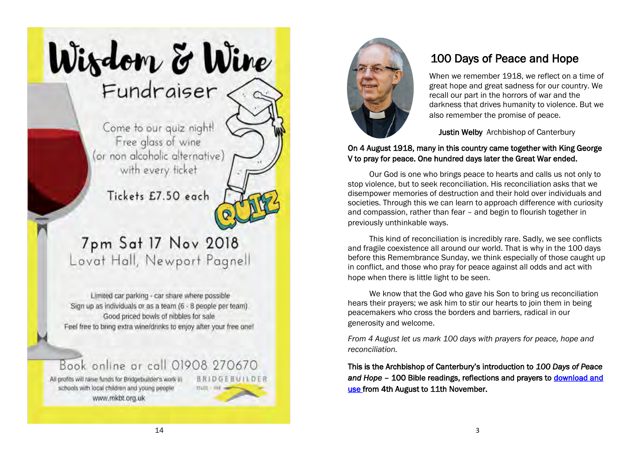# Wisdom & Wine Fundraiser

Come to our quiz night! Free glass of wine (or non alcoholic alternative) with every ficket

Tickets £7.50 each

### 7pm Sat 17 Nov 2018 Lovat Hall, Newport Pagnell

Limited car parking - car share where possible Sign up as individuals or as a team (6 - 8 people per team) Good priced bowls of nibbles for sale Feel free to bring extra wine/drinks to enjoy after your free one!

### Book online or call 01908 270670

**BRIDGEBUILDE** 

 $TTU(1 - Fb)$ 

All profits will raise funds for Bridgebuilder's work in schools with local children and young people www.mkbt.org.uk



### 100 Days of Peace and Hope

When we remember 1918, we reflect on a time of great hope and great sadness for our country. We recall our part in the horrors of war and the darkness that drives humanity to violence. But we also remember the promise of peace.

Justin Welby Archbishop of Canterbury

#### On 4 August 1918, many in this country came together with King George V to pray for peace. One hundred days later the Great War ended.

Our God is one who brings peace to hearts and calls us not only to stop violence, but to seek reconciliation. His reconciliation asks that we disempower memories of destruction and their hold over individuals and societies. Through this we can learn to approach difference with curiosity and compassion, rather than fear – and begin to flourish together in previously unthinkable ways.

This kind of reconciliation is incredibly rare. Sadly, we see conflicts and fragile coexistence all around our world. That is why in the 100 days before this Remembrance Sunday, we think especially of those caught up in conflict, and those who pray for peace against all odds and act with hope when there is little light to be seen.

We know that the God who gave his Son to bring us reconciliation hears their prayers; we ask him to stir our hearts to join them in being peacemakers who cross the borders and barriers, radical in our generosity and welcome.

*From 4 August let us mark 100 days with prayers for peace, hope and reconciliation.*

This is the Archbishop of Canterbury's introduction to *100 Days of Peace and Hope* – 100 Bible readings, reflections and prayers to [download and](https://www.remembrance100.co.uk/100-days/)  [use fr](https://www.remembrance100.co.uk/100-days/)om 4th August to 11th November.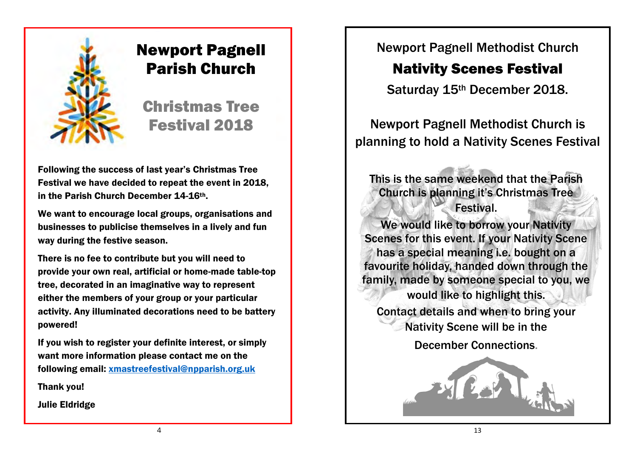

### Newport Pagnell Parish Church

Christmas Tree Festival 2018

Following the success of last year's Christmas Tree Festival we have decided to repeat the event in 2018, in the Parish Church December 14-16th.

We want to encourage local groups, organisations and businesses to publicise themselves in a lively and fun way during the festive season.

There is no fee to contribute but you will need to provide your own real, artificial or home-made table-top tree, decorated in an imaginative way to represent either the members of your group or your particular activity. Any illuminated decorations need to be battery powered!

If you wish to register your definite interest, or simply want more information please contact me on the following email: xmastreefestival@npparish.org.uk

Thank you!

Julie Eldridge

Newport Pagnell Methodist Church

### Nativity Scenes Festival

Saturday 15th December 2018.

Newport Pagnell Methodist Church is planning to hold a Nativity Scenes Festival

This is the same weekend that the Parish Church is planning it's Christmas Tree **Festival.** 

We would like to borrow your Nativity Scenes for this event. If your Nativity Scene has a special meaning i.e. bought on a favourite holiday, handed down through the family, made by someone special to you, we would like to highlight this. Contact details and when to bring your Nativity Scene will be in the

December Connections.

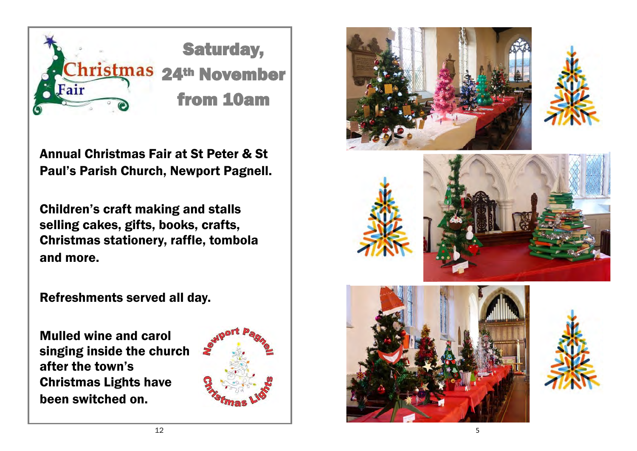

Annual Christmas Fair at St Peter & St Paul's Parish Church, Newport Pagnell.

Children's craft making and stalls selling cakes, gifts, books, crafts, Christmas stationery, raffle, tombola and more.

Refreshments served all day.

Mulled wine and carol singing inside the church after the town's Christmas Lights have been switched on.













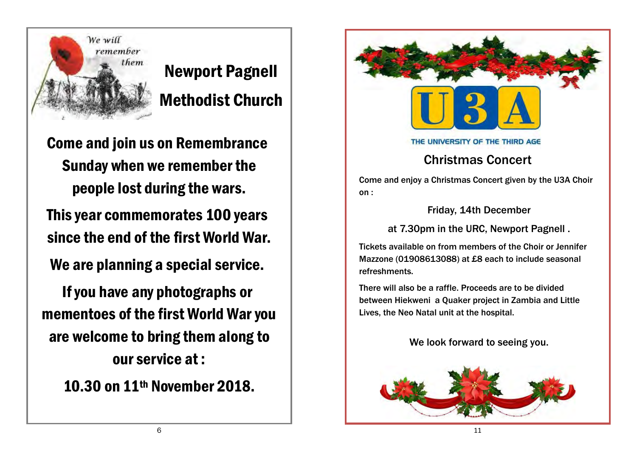

# Newport Pagnell Methodist Church

Come and join us on Remembrance Sunday when we remember the people lost during the wars.

This year commemorates 100 years since the end of the first World War.

We are planning a special service.

If you have any photographs or mementoes of the first World War you are welcome to bring them along to our service at :

10.30 on 11th November 2018.



#### THE UNIVERSITY OF THE THIRD AGE

### Christmas Concert

Come and enjoy a Christmas Concert given by the U3A Choir on :

Friday, 14th December

at 7.30pm in the URC, Newport Pagnell .

Tickets available on from members of the Choir or Jennifer Mazzone (01908613088) at £8 each to include seasonal refreshments.

There will also be a raffle. Proceeds are to be divided between Hiekweni a Quaker project in Zambia and Little Lives, the Neo Natal unit at the hospital.

We look forward to seeing you.

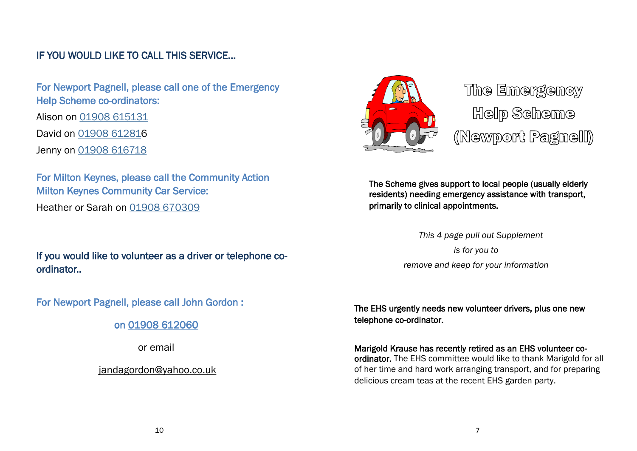### IF YOU WOULD LIKE TO CALL THIS SERVICE...

 For Newport Pagnell, please call one of the Emergency Help Scheme co-ordinators: Alison on [01908 615131](tel:01908%20615131) David on [01908 612816](tel:01908%20612816) Jenny on [01908 616718](tel:01908%20616718)

 For Milton Keynes, please call the Community Action Milton Keynes Community Car Service: Heather or Sarah on [01908 670309](tel:01908%20670309)

 If you would like to volunteer as a driver or telephone coordinator..

For Newport Pagnell, please call John Gordon :

on [01908 612060](tel:01908%20612060)

or email

[jandagordon@yahoo.co.uk](mailto:jandagordon@yahoo.co.uk)



The Emergency Help Scheme (Newport Pagnell)

The Scheme gives support to local people (usually elderly residents) needing emergency assistance with transport, primarily to clinical appointments.

> *This 4 page pull out Supplement is for you to remove and keep for your information*

The EHS urgently needs new volunteer drivers, plus one new telephone co-ordinator.

Marigold Krause has recently retired as an EHS volunteer coordinator. The EHS committee would like to thank Marigold for all of her time and hard work arranging transport, and for preparing delicious cream teas at the recent EHS garden party.